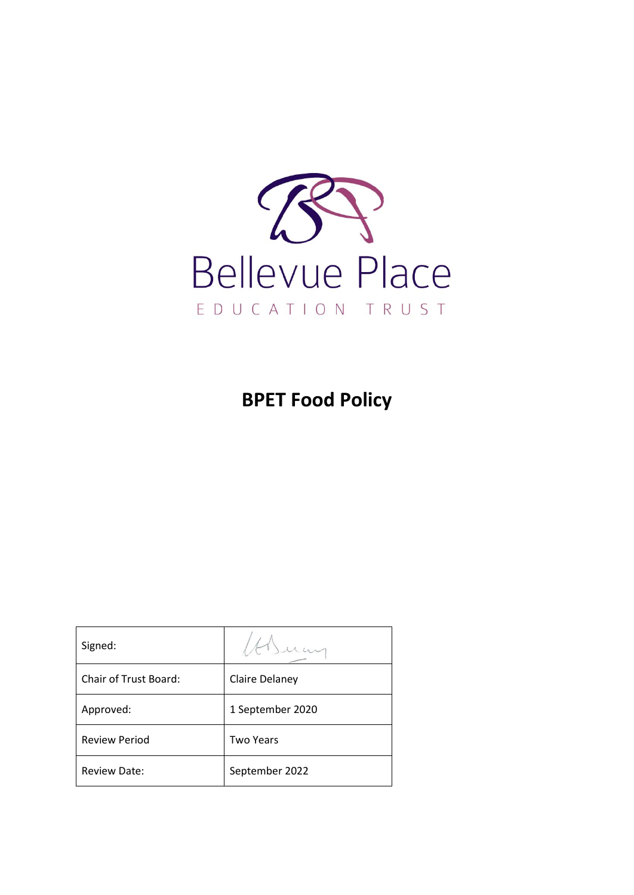

**BPET Food Policy**

| Signed:               |                  |
|-----------------------|------------------|
| Chair of Trust Board: | Claire Delaney   |
| Approved:             | 1 September 2020 |
| <b>Review Period</b>  | Two Years        |
| <b>Review Date:</b>   | September 2022   |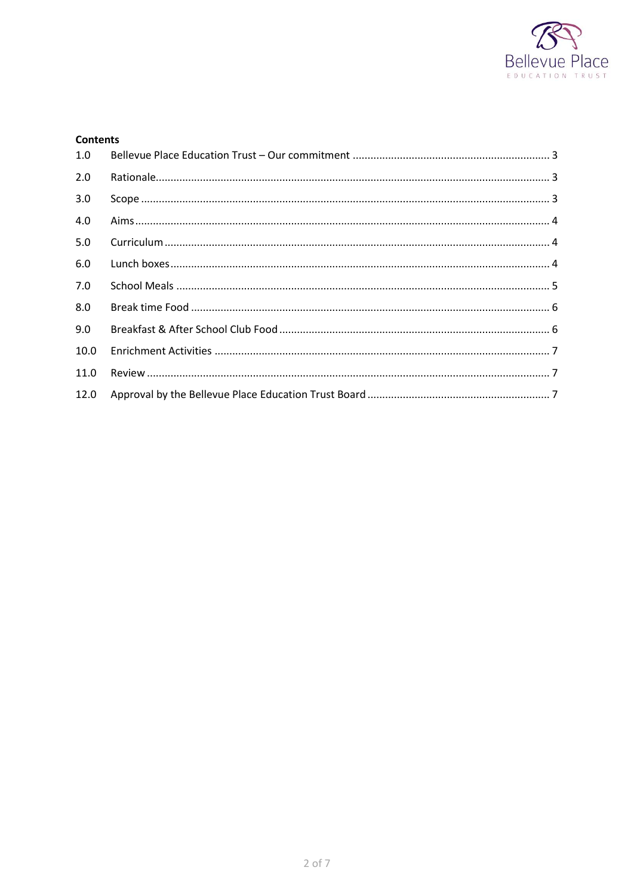

## **Contents**

| 1.0  |  |
|------|--|
| 2.0  |  |
| 3.0  |  |
| 4.0  |  |
| 5.0  |  |
| 6.0  |  |
| 7.0  |  |
| 8.0  |  |
| 9.0  |  |
| 10.0 |  |
| 11.0 |  |
| 12.0 |  |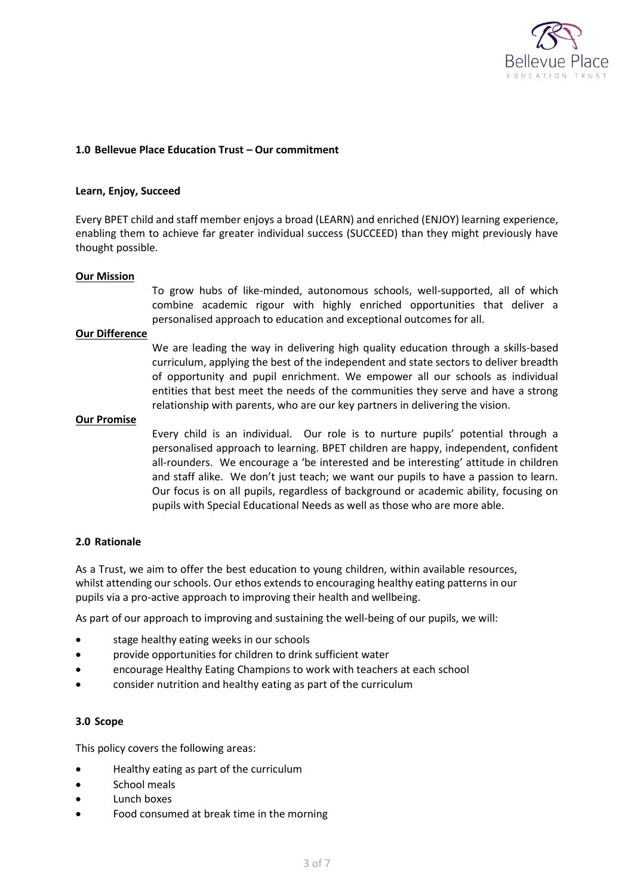

## <span id="page-2-0"></span>**1.0 Bellevue Place Education Trust – Our commitment**

### **Learn, Enjoy, Succeed**

Every BPET child and staff member enjoys a broad (LEARN) and enriched (ENJOY) learning experience, enabling them to achieve far greater individual success (SUCCEED) than they might previously have thought possible.

#### **Our Mission**

To grow hubs of like-minded, autonomous schools, well-supported, all of which combine academic rigour with highly enriched opportunities that deliver a personalised approach to education and exceptional outcomes for all.

### **Our Difference**

We are leading the way in delivering high quality education through a skills-based curriculum, applying the best of the independent and state sectors to deliver breadth of opportunity and pupil enrichment. We empower all our schools as individual entities that best meet the needs of the communities they serve and have a strong relationship with parents, who are our key partners in delivering the vision.

#### **Our Promise**

Every child is an individual. Our role is to nurture pupils' potential through a personalised approach to learning. BPET children are happy, independent, confident all-rounders. We encourage a 'be interested and be interesting' attitude in children and staff alike. We don't just teach; we want our pupils to have a passion to learn. Our focus is on all pupils, regardless of background or academic ability, focusing on pupils with Special Educational Needs as well as those who are more able.

#### <span id="page-2-1"></span>**2.0 Rationale**

As a Trust, we aim to offer the best education to young children, within available resources, whilst attending our schools. Our ethos extends to encouraging healthy eating patterns in our pupils via a pro-active approach to improving their health and wellbeing.

As part of our approach to improving and sustaining the well-being of our pupils, we will:

- stage healthy eating weeks in our schools
- provide opportunities for children to drink sufficient water
- encourage Healthy Eating Champions to work with teachers at each school
- consider nutrition and healthy eating as part of the curriculum

### <span id="page-2-2"></span>**3.0 Scope**

This policy covers the following areas:

- Healthy eating as part of the curriculum
- School meals
- Lunch boxes
- Food consumed at break time in the morning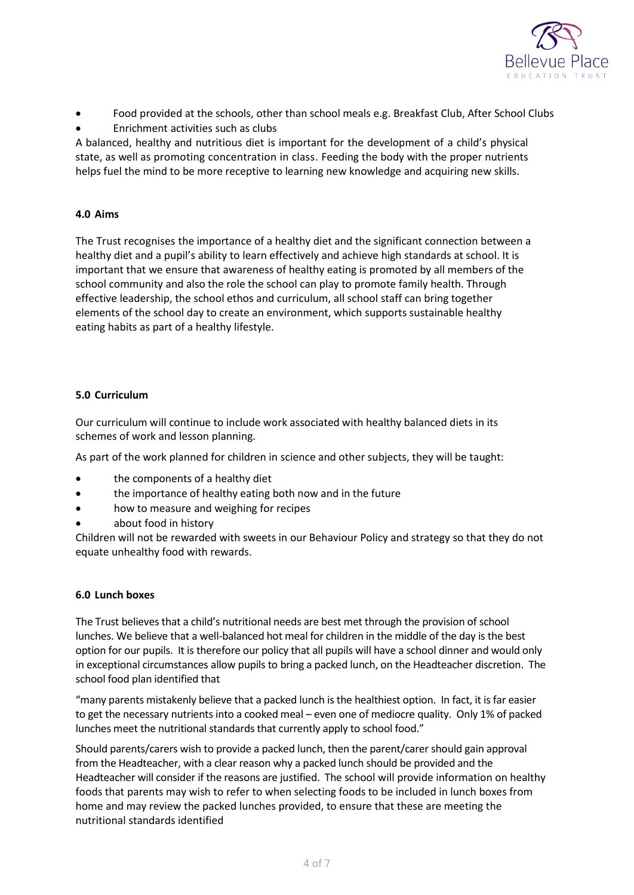

- Food provided at the schools, other than school meals e.g. Breakfast Club, After School Clubs
- Enrichment activities such as clubs

A balanced, healthy and nutritious diet is important for the development of a child's physical state, as well as promoting concentration in class. Feeding the body with the proper nutrients helps fuel the mind to be more receptive to learning new knowledge and acquiring new skills.

# <span id="page-3-0"></span>**4.0 Aims**

The Trust recognises the importance of a healthy diet and the significant connection between a healthy diet and a pupil's ability to learn effectively and achieve high standards at school. It is important that we ensure that awareness of healthy eating is promoted by all members of the school community and also the role the school can play to promote family health. Through effective leadership, the school ethos and curriculum, all school staff can bring together elements of the school day to create an environment, which supports sustainable healthy eating habits as part of a healthy lifestyle.

# <span id="page-3-1"></span>**5.0 Curriculum**

Our curriculum will continue to include work associated with healthy balanced diets in its schemes of work and lesson planning.

As part of the work planned for children in science and other subjects, they will be taught:

- the components of a healthy diet
- the importance of healthy eating both now and in the future
- how to measure and weighing for recipes
- about food in history

Children will not be rewarded with sweets in our Behaviour Policy and strategy so that they do not equate unhealthy food with rewards.

# <span id="page-3-2"></span>**6.0 Lunch boxes**

The Trust believes that a child's nutritional needs are best met through the provision of school lunches. We believe that a well-balanced hot meal for children in the middle of the day is the best option for our pupils. It is therefore our policy that all pupils will have a school dinner and would only in exceptional circumstances allow pupils to bring a packed lunch, on the Headteacher discretion. The school food plan identified that

"many parents mistakenly believe that a packed lunch is the healthiest option. In fact, it is far easier to get the necessary nutrients into a cooked meal – even one of mediocre quality. Only 1% of packed lunches meet the nutritional standards that currently apply to school food."

Should parents/carers wish to provide a packed lunch, then the parent/carer should gain approval from the Headteacher, with a clear reason why a packed lunch should be provided and the Headteacher will consider if the reasons are justified. The school will provide information on healthy foods that parents may wish to refer to when selecting foods to be included in lunch boxes from home and may review the packed lunches provided, to ensure that these are meeting the nutritional standards identified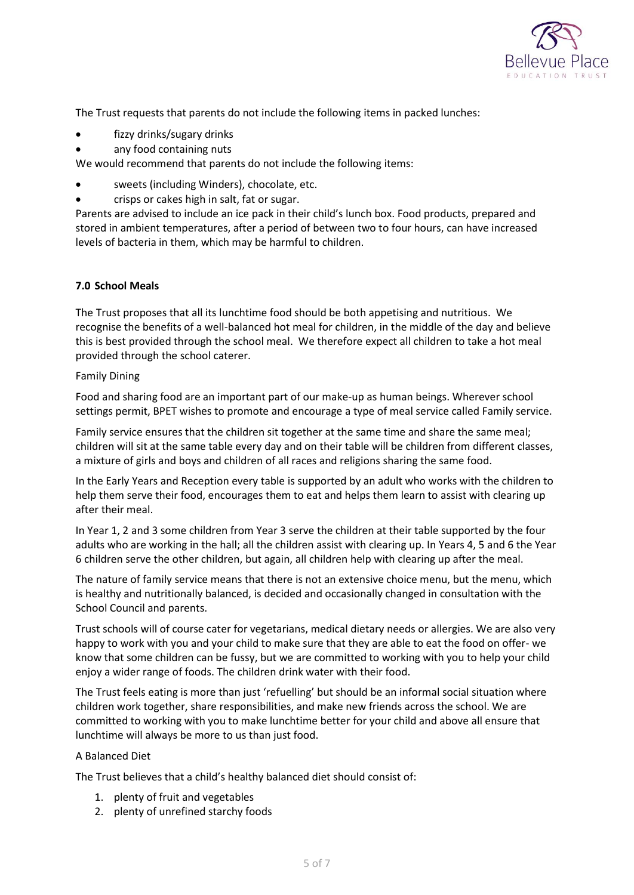

The Trust requests that parents do not include the following items in packed lunches:

- fizzy drinks/sugary drinks
- any food containing nuts

We would recommend that parents do not include the following items:

- sweets (including Winders), chocolate, etc.
- crisps or cakes high in salt, fat or sugar.

Parents are advised to include an ice pack in their child's lunch box. Food products, prepared and stored in ambient temperatures, after a period of between two to four hours, can have increased levels of bacteria in them, which may be harmful to children.

## <span id="page-4-0"></span>**7.0 School Meals**

The Trust proposes that all its lunchtime food should be both appetising and nutritious. We recognise the benefits of a well-balanced hot meal for children, in the middle of the day and believe this is best provided through the school meal. We therefore expect all children to take a hot meal provided through the school caterer.

### Family Dining

Food and sharing food are an important part of our make-up as human beings. Wherever school settings permit, BPET wishes to promote and encourage a type of meal service called Family service.

Family service ensures that the children sit together at the same time and share the same meal; children will sit at the same table every day and on their table will be children from different classes, a mixture of girls and boys and children of all races and religions sharing the same food.

In the Early Years and Reception every table is supported by an adult who works with the children to help them serve their food, encourages them to eat and helps them learn to assist with clearing up after their meal.

In Year 1, 2 and 3 some children from Year 3 serve the children at their table supported by the four adults who are working in the hall; all the children assist with clearing up. In Years 4, 5 and 6 the Year 6 children serve the other children, but again, all children help with clearing up after the meal.

The nature of family service means that there is not an extensive choice menu, but the menu, which is healthy and nutritionally balanced, is decided and occasionally changed in consultation with the School Council and parents.

Trust schools will of course cater for vegetarians, medical dietary needs or allergies. We are also very happy to work with you and your child to make sure that they are able to eat the food on offer- we know that some children can be fussy, but we are committed to working with you to help your child enjoy a wider range of foods. The children drink water with their food.

The Trust feels eating is more than just 'refuelling' but should be an informal social situation where children work together, share responsibilities, and make new friends across the school. We are committed to working with you to make lunchtime better for your child and above all ensure that lunchtime will always be more to us than just food.

## A Balanced Diet

The Trust believes that a child's healthy balanced diet should consist of:

- 1. plenty of fruit and vegetables
- 2. plenty of unrefined starchy foods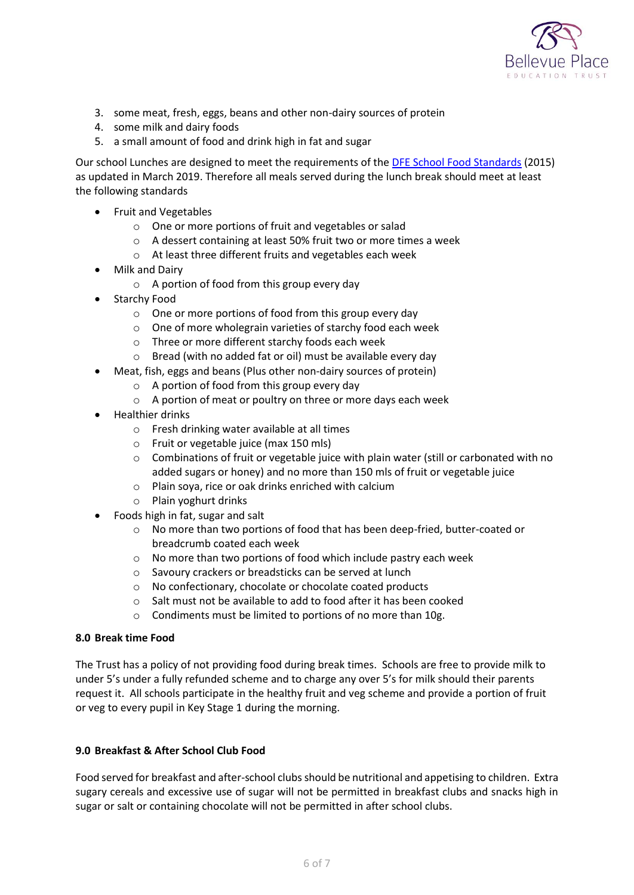

- 3. some meat, fresh, eggs, beans and other non-dairy sources of protein
- 4. some milk and dairy foods
- 5. a small amount of food and drink high in fat and sugar

Our school Lunches are designed to meet the requirements of the [DFE School Food Standards](https://www.gov.uk/government/publications/standards-for-school-food-in-england) (2015) as updated in March 2019. Therefore all meals served during the lunch break should meet at least the following standards

- Fruit and Vegetables
	- o One or more portions of fruit and vegetables or salad
	- o A dessert containing at least 50% fruit two or more times a week
	- o At least three different fruits and vegetables each week
- Milk and Dairy
	- o A portion of food from this group every day
- Starchy Food
	- o One or more portions of food from this group every day
	- o One of more wholegrain varieties of starchy food each week
	- o Three or more different starchy foods each week
	- o Bread (with no added fat or oil) must be available every day
	- Meat, fish, eggs and beans (Plus other non-dairy sources of protein)
		- o A portion of food from this group every day
		- o A portion of meat or poultry on three or more days each week
- Healthier drinks
	- o Fresh drinking water available at all times
	- o Fruit or vegetable juice (max 150 mls)
	- $\circ$  Combinations of fruit or vegetable juice with plain water (still or carbonated with no added sugars or honey) and no more than 150 mls of fruit or vegetable juice
	- o Plain soya, rice or oak drinks enriched with calcium
	- o Plain yoghurt drinks
- Foods high in fat, sugar and salt
	- o No more than two portions of food that has been deep-fried, butter-coated or breadcrumb coated each week
	- o No more than two portions of food which include pastry each week
	- o Savoury crackers or breadsticks can be served at lunch
	- o No confectionary, chocolate or chocolate coated products
	- o Salt must not be available to add to food after it has been cooked
	- o Condiments must be limited to portions of no more than 10g.

## <span id="page-5-0"></span>**8.0 Break time Food**

The Trust has a policy of not providing food during break times. Schools are free to provide milk to under 5's under a fully refunded scheme and to charge any over 5's for milk should their parents request it. All schools participate in the healthy fruit and veg scheme and provide a portion of fruit or veg to every pupil in Key Stage 1 during the morning.

## <span id="page-5-1"></span>**9.0 Breakfast & After School Club Food**

Food served for breakfast and after-school clubs should be nutritional and appetising to children. Extra sugary cereals and excessive use of sugar will not be permitted in breakfast clubs and snacks high in sugar or salt or containing chocolate will not be permitted in after school clubs.